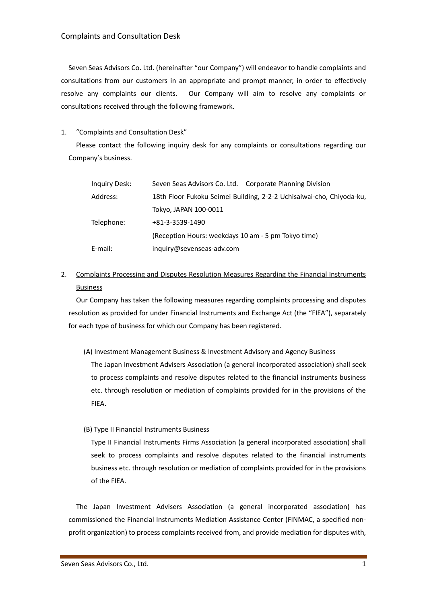Seven Seas Advisors Co. Ltd. (hereinafter "our Company") will endeavor to handle complaints and consultations from our customers in an appropriate and prompt manner, in order to effectively resolve any complaints our clients. Our Company will aim to resolve any complaints or consultations received through the following framework.

## 1. "Complaints and Consultation Desk"

Please contact the following inquiry desk for any complaints or consultations regarding our Company's business.

| Inquiry Desk: | Seven Seas Advisors Co. Ltd. Corporate Planning Division             |
|---------------|----------------------------------------------------------------------|
| Address:      | 18th Floor Fukoku Seimei Building, 2-2-2 Uchisaiwai-cho, Chiyoda-ku, |
|               | Tokyo, JAPAN 100-0011                                                |
| Telephone:    | $+81-3-3539-1490$                                                    |
|               | (Reception Hours: weekdays 10 am - 5 pm Tokyo time)                  |
| E-mail:       | inguiry@sevenseas-adv.com                                            |

## 2. Complaints Processing and Disputes Resolution Measures Regarding the Financial Instruments Business

Our Company has taken the following measures regarding complaints processing and disputes resolution as provided for under Financial Instruments and Exchange Act (the "FIEA"), separately for each type of business for which our Company has been registered.

(A) Investment Management Business & Investment Advisory and Agency Business

The Japan Investment Advisers Association (a general incorporated association) shall seek to process complaints and resolve disputes related to the financial instruments business etc. through resolution or mediation of complaints provided for in the provisions of the FIEA.

(B) Type II Financial Instruments Business

Type II Financial Instruments Firms Association (a general incorporated association) shall seek to process complaints and resolve disputes related to the financial instruments business etc. through resolution or mediation of complaints provided for in the provisions of the FIEA.

The Japan Investment Advisers Association (a general incorporated association) has commissioned the Financial Instruments Mediation Assistance Center (FINMAC, a specified nonprofit organization) to process complaints received from, and provide mediation for disputes with,